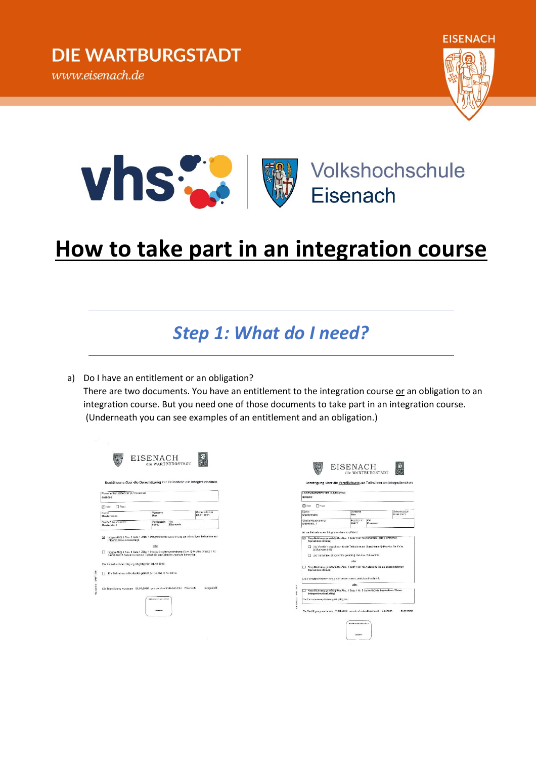



# **How to take part in an integration course**

#### *Step 1: What do I need?*

a) Do I have an entitlement or an obligation?

There are two documents. You have an entitlement to the integration course or an obligation to an integration course. But you need one of those documents to take part in an integration course. (Underneath you can see examples of an entitlement and an obligation.)

| Vomaron<br><b>MARK</b>                               |                 | Geburtsdatum<br>01.01.1911                                                                                                                                                                                                                                                                                                                                                                                    |
|------------------------------------------------------|-----------------|---------------------------------------------------------------------------------------------------------------------------------------------------------------------------------------------------------------------------------------------------------------------------------------------------------------------------------------------------------------------------------------------------------------|
| <b>Dostaitzabl</b><br>99817                          | Ort<br>Fisenach |                                                                                                                                                                                                                                                                                                                                                                                                               |
| Die Teilnahmeberechtigung ist gültig bis: 31.12.2016 |                 |                                                                                                                                                                                                                                                                                                                                                                                                               |
|                                                      |                 |                                                                                                                                                                                                                                                                                                                                                                                                               |
|                                                      |                 | dusgestellt.                                                                                                                                                                                                                                                                                                                                                                                                  |
|                                                      | oder            | ist gemäß § 4 Abs. 1 Salz 1 Ziffer 1 Intogrationskursverordnung zur einmaligen Teilnahme am<br>ist gemäß § 4 Abs. 1 Satz 1 Ziffer 1 Integrationskursverordnung i.V.m. § 44 Abs. 3 Satz 1 Nr.<br>3 und Salz 2 AufentisG nur zur Teilnahme am Orientierungskurs berechtigt.<br>Die Teilnahme ist kostenkos gemäß § 104 Abs. 5 AufenthG<br>Die Bestäfigung wurde am 01.01.2016 von der Ausländerbehörde Eisenach |

E6437-7-231

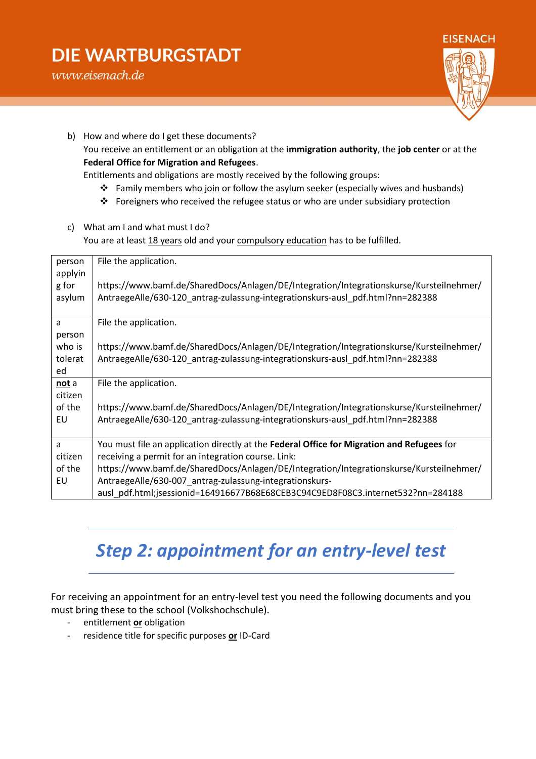### **DIE WARTBURGSTADT**



b) How and where do I get these documents? You receive an entitlement or an obligation at the **immigration authority**, the **job center** or at the **Federal Office for Migration and Refugees**.

Entitlements and obligations are mostly received by the following groups:

- Family members who join or follow the asylum seeker (especially wives and husbands)
- \* Foreigners who received the refugee status or who are under subsidiary protection
- c) What am I and what must I do? You are at least 18 years old and your compulsory education has to be fulfilled.

| person<br>applyin | File the application.                                                                      |
|-------------------|--------------------------------------------------------------------------------------------|
| g for             | https://www.bamf.de/SharedDocs/Anlagen/DE/Integration/Integrationskurse/Kursteilnehmer/    |
| asylum            | AntraegeAlle/630-120 antrag-zulassung-integrationskurs-ausl pdf.html?nn=282388             |
| a                 | File the application.                                                                      |
| person            |                                                                                            |
| who is            | https://www.bamf.de/SharedDocs/Anlagen/DE/Integration/Integrationskurse/Kursteilnehmer/    |
| tolerat           | AntraegeAlle/630-120_antrag-zulassung-integrationskurs-ausl_pdf.html?nn=282388             |
| ed                |                                                                                            |
| not a             | File the application.                                                                      |
| citizen           |                                                                                            |
| of the            | https://www.bamf.de/SharedDocs/Anlagen/DE/Integration/Integrationskurse/Kursteilnehmer/    |
| EU                | AntraegeAlle/630-120 antrag-zulassung-integrationskurs-ausl pdf.html?nn=282388             |
|                   |                                                                                            |
| a                 | You must file an application directly at the Federal Office for Migration and Refugees for |
| citizen           | receiving a permit for an integration course. Link:                                        |
| of the            | https://www.bamf.de/SharedDocs/Anlagen/DE/Integration/Integrationskurse/Kursteilnehmer/    |
| EU                | AntraegeAlle/630-007 antrag-zulassung-integrationskurs-                                    |
|                   | ausl pdf.html;jsessionid=164916677B68E68CEB3C94C9ED8F08C3.internet532?nn=284188            |

### *Step 2: appointment for an entry-level test*

For receiving an appointment for an entry-level test you need the following documents and you must bring these to the school (Volkshochschule).

- entitlement **or** obligation
- residence title for specific purposes **or** ID-Card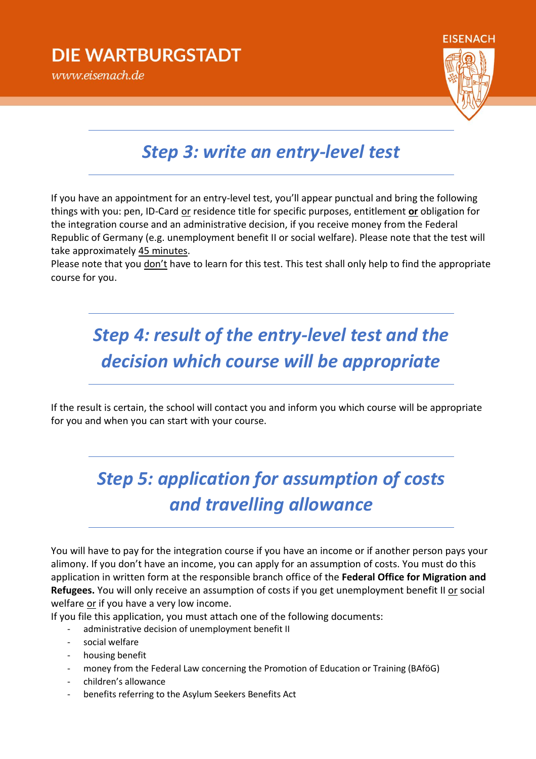#### www.eisenach.de

#### *Step 3: write an entry-level test*

If you have an appointment for an entry-level test, you'll appear punctual and bring the following things with you: pen, ID-Card or residence title for specific purposes, entitlement **or** obligation for the integration course and an administrative decision, if you receive money from the Federal Republic of Germany (e.g. unemployment benefit II or social welfare). Please note that the test will take approximately 45 minutes.

Please note that you don't have to learn for this test. This test shall only help to find the appropriate course for you.

## *Step 4: result of the entry-level test and the decision which course will be appropriate*

If the result is certain, the school will contact you and inform you which course will be appropriate for you and when you can start with your course.

# *Step 5: application for assumption of costs and travelling allowance*

You will have to pay for the integration course if you have an income or if another person pays your alimony. If you don't have an income, you can apply for an assumption of costs. You must do this application in written form at the responsible branch office of the **Federal Office for Migration and**  Refugees. You will only receive an assumption of costs if you get unemployment benefit II or social welfare or if you have a very low income.

If you file this application, you must attach one of the following documents:

- administrative decision of unemployment benefit II
- social welfare
- housing benefit
- money from the Federal Law concerning the Promotion of Education or Training (BAföG)
- children's allowance
- benefits referring to the Asylum Seekers Benefits Act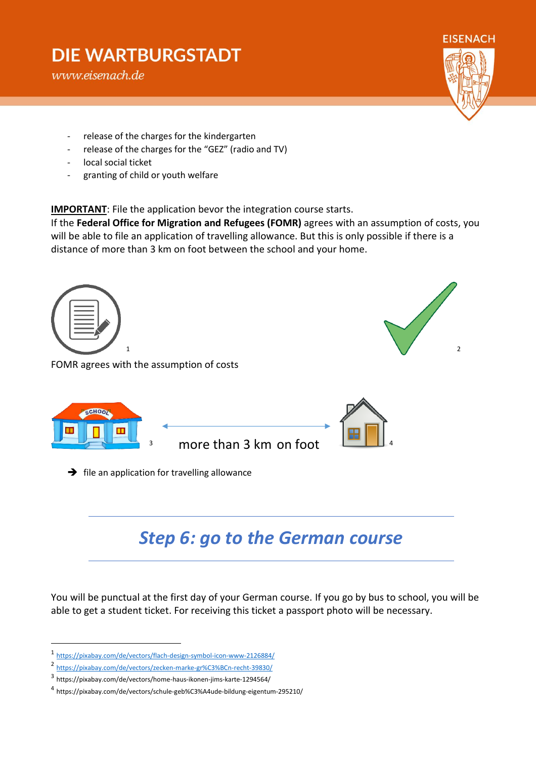### **DIE WARTBURGSTADT**

www.eisenach.de

**FISENACH** 

- release of the charges for the kindergarten
- release of the charges for the "GEZ" (radio and TV)
- local social ticket
- granting of child or youth welfare

**IMPORTANT:** File the application bevor the integration course starts.

If the **Federal Office for Migration and Refugees (FOMR)** agrees with an assumption of costs, you will be able to file an application of travelling allowance. But this is only possible if there is a distance of more than 3 km on foot between the school and your home.



more than 3 km on foot

 $\rightarrow$  file an application for travelling allowance

# *Step 6: go to the German course*

You will be punctual at the first day of your German course. If you go by bus to school, you will be able to get a student ticket. For receiving this ticket a passport photo will be necessary.

 $\overline{a}$ 

<sup>1</sup> <https://pixabay.com/de/vectors/flach-design-symbol-icon-www-2126884/>

<sup>2</sup> <https://pixabay.com/de/vectors/zecken-marke-gr%C3%BCn-recht-39830/>

<sup>3</sup> https://pixabay.com/de/vectors/home-haus-ikonen-jims-karte-1294564/

<sup>4</sup> https://pixabay.com/de/vectors/schule-geb%C3%A4ude-bildung-eigentum-295210/